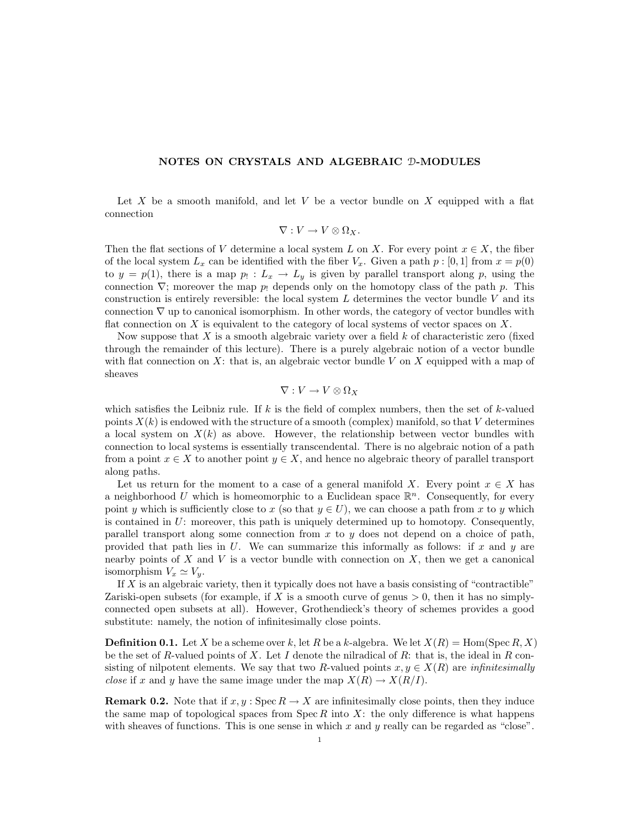## NOTES ON CRYSTALS AND ALGEBRAIC D-MODULES

Let X be a smooth manifold, and let V be a vector bundle on X equipped with a flat connection

$$
\nabla: V \to V \otimes \Omega_X.
$$

Then the flat sections of V determine a local system L on X. For every point  $x \in X$ , the fiber of the local system  $L_x$  can be identified with the fiber  $V_x$ . Given a path  $p : [0, 1]$  from  $x = p(0)$ to  $y = p(1)$ , there is a map  $p_1: L_x \to L_y$  is given by parallel transport along p, using the connection  $\nabla$ ; moreover the map p. depends only on the homotopy class of the path p. This construction is entirely reversible: the local system  $L$  determines the vector bundle  $V$  and its connection  $\nabla$  up to canonical isomorphism. In other words, the category of vector bundles with flat connection on  $X$  is equivalent to the category of local systems of vector spaces on  $X$ .

Now suppose that X is a smooth algebraic variety over a field  $k$  of characteristic zero (fixed through the remainder of this lecture). There is a purely algebraic notion of a vector bundle with flat connection on X: that is, an algebraic vector bundle V on X equipped with a map of sheaves

$$
\nabla: V \to V \otimes \Omega_X
$$

which satisfies the Leibniz rule. If  $k$  is the field of complex numbers, then the set of  $k$ -valued points  $X(k)$  is endowed with the structure of a smooth (complex) manifold, so that V determines a local system on  $X(k)$  as above. However, the relationship between vector bundles with connection to local systems is essentially transcendental. There is no algebraic notion of a path from a point  $x \in X$  to another point  $y \in X$ , and hence no algebraic theory of parallel transport along paths.

Let us return for the moment to a case of a general manifold X. Every point  $x \in X$  has a neighborhood U which is homeomorphic to a Euclidean space  $\mathbb{R}^n$ . Consequently, for every point y which is sufficiently close to x (so that  $y \in U$ ), we can choose a path from x to y which is contained in  $U$ : moreover, this path is uniquely determined up to homotopy. Consequently, parallel transport along some connection from  $x$  to  $y$  does not depend on a choice of path, provided that path lies in  $U$ . We can summarize this informally as follows: if x and y are nearby points of X and V is a vector bundle with connection on X, then we get a canonical isomorphism  $V_x \simeq V_y$ .

If  $X$  is an algebraic variety, then it typically does not have a basis consisting of "contractible" Zariski-open subsets (for example, if X is a smooth curve of genus  $> 0$ , then it has no simplyconnected open subsets at all). However, Grothendieck's theory of schemes provides a good substitute: namely, the notion of infinitesimally close points.

**Definition 0.1.** Let X be a scheme over k, let R be a k-algebra. We let  $X(R) = \text{Hom}(\text{Spec } R, X)$ be the set of R-valued points of X. Let I denote the nilradical of R: that is, the ideal in R consisting of nilpotent elements. We say that two R-valued points  $x, y \in X(R)$  are *infinitesimally close* if x and y have the same image under the map  $X(R) \to X(R/I)$ .

**Remark 0.2.** Note that if  $x, y$ : Spec  $R \to X$  are infinitesimally close points, then they induce the same map of topological spaces from  $Spec R$  into X: the only difference is what happens with sheaves of functions. This is one sense in which x and  $y$  really can be regarded as "close".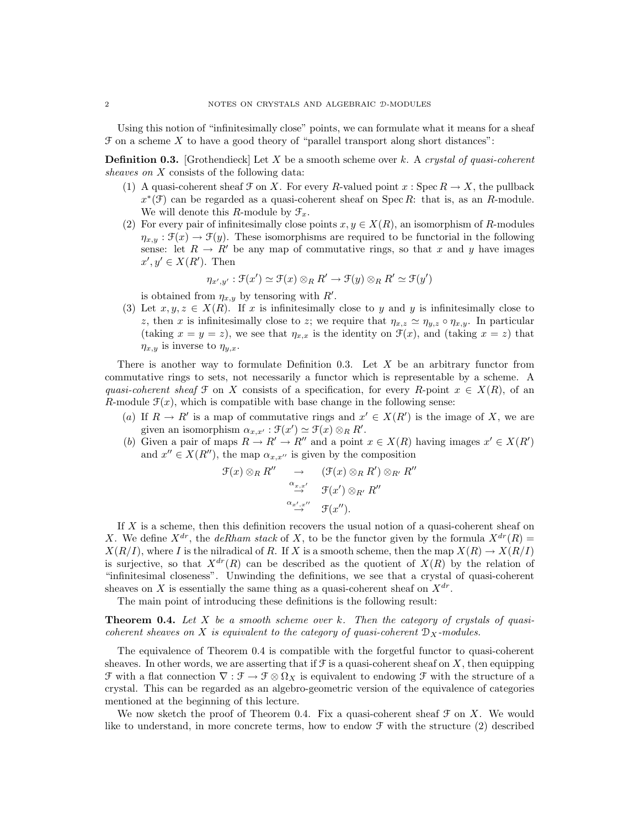Using this notion of "infinitesimally close" points, we can formulate what it means for a sheaf  $\mathcal F$  on a scheme X to have a good theory of "parallel transport along short distances":

**Definition 0.3.** [Grothendieck] Let X be a smooth scheme over k. A crystal of quasi-coherent sheaves on X consists of the following data:

- (1) A quasi-coherent sheaf  $\mathcal F$  on X. For every R-valued point  $x : \operatorname{Spec} R \to X$ , the pullback  $x^*(\mathcal{F})$  can be regarded as a quasi-coherent sheaf on Spec R: that is, as an R-module. We will denote this R-module by  $\mathcal{F}_x$ .
- (2) For every pair of infinitesimally close points  $x, y \in X(R)$ , an isomorphism of R-modules  $\eta_{x,y} : \mathfrak{F}(x) \to \mathfrak{F}(y)$ . These isomorphisms are required to be functorial in the following sense: let  $R \to R'$  be any map of commutative rings, so that x and y have images  $x', y' \in X(R')$ . Then

$$
\eta_{x',y'} : \mathfrak{F}(x') \simeq \mathfrak{F}(x) \otimes_R R' \to \mathfrak{F}(y) \otimes_R R' \simeq \mathfrak{F}(y')
$$

is obtained from  $\eta_{x,y}$  by tensoring with  $R'$ .

(3) Let  $x, y, z \in X(R)$ . If x is infinitesimally close to y and y is infinitesimally close to z, then x is infinitesimally close to z; we require that  $\eta_{x,z} \simeq \eta_{y,z} \circ \eta_{x,y}$ . In particular (taking  $x = y = z$ ), we see that  $\eta_{x,x}$  is the identity on  $\mathcal{F}(x)$ , and (taking  $x = z$ ) that  $\eta_{x,y}$  is inverse to  $\eta_{y,x}$ .

There is another way to formulate Definition 0.3. Let  $X$  be an arbitrary functor from commutative rings to sets, not necessarily a functor which is representable by a scheme. A quasi-coherent sheaf F on X consists of a specification, for every R-point  $x \in X(R)$ , of an R-module  $\mathcal{F}(x)$ , which is compatible with base change in the following sense:

- (a) If  $R \to R'$  is a map of commutative rings and  $x' \in X(R')$  is the image of X, we are given an isomorphism  $\alpha_{x,x'} : \mathfrak{F}(x') \simeq \mathfrak{F}(x) \otimes_R R'.$
- (b) Given a pair of maps  $R \to R' \to R''$  and a point  $x \in X(R)$  having images  $x' \in X(R')$ and  $x'' \in X(R'')$ , the map  $\alpha_{x,x''}$  is given by the composition

$$
\mathcal{F}(x) \otimes_R R'' \longrightarrow (\mathcal{F}(x) \otimes_R R') \otimes_{R'} R''
$$
  

$$
\xrightarrow{\alpha_{x,x'}} \qquad \mathcal{F}(x') \otimes_{R'} R''
$$
  

$$
\xrightarrow{\alpha_{x',x''}} \qquad \mathcal{F}(x'').
$$

If  $X$  is a scheme, then this definition recovers the usual notion of a quasi-coherent sheaf on X. We define  $X^{dr}$ , the *deRham stack* of X, to be the functor given by the formula  $X^{dr}(R)$  =  $X(R/I)$ , where I is the nilradical of R. If X is a smooth scheme, then the map  $X(R) \to X(R/I)$ is surjective, so that  $X^{dr}(R)$  can be described as the quotient of  $X(R)$  by the relation of "infinitesimal closeness". Unwinding the definitions, we see that a crystal of quasi-coherent sheaves on X is essentially the same thing as a quasi-coherent sheaf on  $X^{dr}$ .

The main point of introducing these definitions is the following result:

**Theorem 0.4.** Let  $X$  be a smooth scheme over  $k$ . Then the category of crystals of quasicoherent sheaves on X is equivalent to the category of quasi-coherent  $\mathcal{D}_X$ -modules.

The equivalence of Theorem 0.4 is compatible with the forgetful functor to quasi-coherent sheaves. In other words, we are asserting that if  $\mathcal F$  is a quasi-coherent sheaf on X, then equipping F with a flat connection  $\nabla$  :  $\mathcal{F} \to \mathcal{F} \otimes \Omega_X$  is equivalent to endowing F with the structure of a crystal. This can be regarded as an algebro-geometric version of the equivalence of categories mentioned at the beginning of this lecture.

We now sketch the proof of Theorem 0.4. Fix a quasi-coherent sheaf  $\mathcal F$  on X. We would like to understand, in more concrete terms, how to endow  $\mathcal F$  with the structure (2) described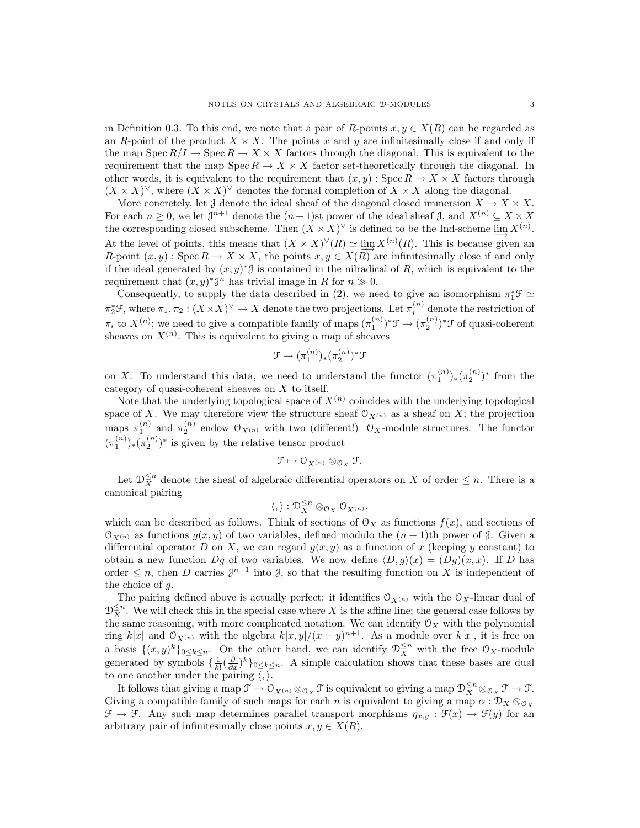in Definition 0.3. To this end, we note that a pair of R-points  $x, y \in X(R)$  can be regarded as an R-point of the product  $X \times X$ . The points x and y are infinitesimally close if and only if the map  $Spec R/I \to Spec R \to X \times X$  factors through the diagonal. This is equivalent to the requirement that the map  $Spec R \to X \times X$  factor set-theoretically through the diagonal. In other words, it is equivalent to the requirement that  $(x, y)$ : Spec  $R \to X \times X$  factors through  $(X \times X)^\vee$ , where  $(X \times X)^\vee$  denotes the formal completion of  $X \times X$  along the diagonal.

More concretely, let  $\mathcal J$  denote the ideal sheaf of the diagonal closed immersion  $X \to X \times X$ . For each  $n \geq 0$ , we let  $\mathcal{J}^{n+1}$  denote the  $(n+1)$ st power of the ideal sheaf  $\mathcal{J}$ , and  $X^{(n)} \subseteq X \times X$ the corresponding closed subscheme. Then  $(X \times X)^\vee$  is defined to be the Ind-scheme  $\underline{\lim} X^{(n)}$ . At the level of points, this means that  $(X \times X)^{\vee}(R) \simeq \lim_{X \to \infty} X^{(n)}(R)$ . This is because given an R-point  $(x, y)$ : Spec  $R \to X \times X$ , the points  $x, y \in X(R)$  are infinitesimally close if and only if the ideal generated by  $(x, y)^*$  is contained in the nilradical of R, which is equivalent to the requirement that  $(x, y)^* \mathcal{J}^n$  has trivial image in R for  $n \gg 0$ .

Consequently, to supply the data described in (2), we need to give an isomorphism  $\pi_1^* \mathcal{F} \simeq$  $\pi_2^* \mathcal{F}$ , where  $\pi_1, \pi_2 : (X \times X)^\vee \to X$  denote the two projections. Let  $\pi_i^{(n)}$  denote the restriction of  $\pi_i$  to  $X^{(n)}$ ; we need to give a compatible family of maps  $(\pi_1^{(n)})^* \mathcal{F} \to (\pi_2^{(n)})^* \mathcal{F}$  of quasi-coherent sheaves on  $X^{(n)}$ . This is equivalent to giving a map of sheaves

$$
\mathfrak{F} \to (\pi_1^{(n)})_*(\pi_2^{(n)})^*\mathfrak{F}
$$

on X. To understand this data, we need to understand the functor  $(\pi_1^{(n)})_*(\pi_2^{(n)})^*$  from the category of quasi-coherent sheaves on X to itself.

Note that the underlying topological space of  $X^{(n)}$  coincides with the underlying topological space of X. We may therefore view the structure sheaf  $O_{X^{(n)}}$  as a sheaf on X; the projection maps  $\pi_1^{(n)}$  and  $\pi_2^{(n)}$  endow  $\mathcal{O}_{X^{(n)}}$  with two (different!)  $\mathcal{O}_X$ -module structures. The functor  $(\pi_1^{(n)})_*(\pi_2^{(n)})^*$  is given by the relative tensor product

$$
\mathfrak{F}\mapsto \mathfrak{O}_{X^{(n)}}\otimes_{\mathfrak{O}_X}\mathfrak{F}.
$$

Let  $\mathcal{D}_{X}^{\leq n}$  denote the sheaf of algebraic differential operators on X of order  $\leq n$ . There is a canonical pairing

$$
\langle,\rangle:\mathcal D^{\leq n}_{X}\otimes_{\mathcal O_X}\mathcal O_{X^{(n)}},
$$

which can be described as follows. Think of sections of  $\mathcal{O}_X$  as functions  $f(x)$ , and sections of  $\mathfrak{O}_{X^{(n)}}$  as functions  $g(x, y)$  of two variables, defined modulo the  $(n + 1)$ th power of  $\mathfrak{I}$ . Given a differential operator D on X, we can regard  $g(x, y)$  as a function of x (keeping y constant) to obtain a new function Dq of two variables. We now define  $\langle D, g \rangle(x) = (Dg)(x, x)$ . If D has order  $\leq n$ , then D carries  $\mathcal{J}^{n+1}$  into  $\mathcal{J}$ , so that the resulting function on X is independent of the choice of g.

The pairing defined above is actually perfect: it identifies  $\mathcal{O}_{X^{(n)}}$  with the  $\mathcal{O}_X$ -linear dual of  $\mathcal{D}_{X}^{\leq n}$ . We will check this in the special case where X is the affine line; the general case follows by the same reasoning, with more complicated notation. We can identify  $\mathcal{O}_X$  with the polynomial ring k[x] and  $\mathfrak{O}_{X^{(n)}}$  with the algebra  $k[x, y]/(x - y)^{n+1}$ . As a module over k[x], it is free on a basis  $\{(x,y)^k\}_{0\leq k\leq n}$ . On the other hand, we can identify  $\mathcal{D}_X^{\leq n}$  with the free  $\mathcal{O}_X$ -module generated by symbols  $\{\frac{1}{k!}(\frac{\partial}{\partial x})^k\}_{0\leq k\leq n}$ . A simple calculation shows that these bases are dual to one another under the pairing  $\langle , \rangle$ .

It follows that giving a map  $\mathcal{F} \to \mathcal{O}_{X^{(n)}} \otimes_{\mathcal{O}_X} \mathcal{F}$  is equivalent to giving a map  $\mathcal{D}_{X}^{\leq n} \otimes_{\mathcal{O}_X} \mathcal{F} \to \mathcal{F}$ . Giving a compatible family of such maps for each n is equivalent to giving a map  $\alpha : \mathcal{D}_X \otimes_{\mathcal{O}_X}$  $\mathcal{F} \to \mathcal{F}$ . Any such map determines parallel transport morphisms  $\eta_{x,y} : \mathcal{F}(x) \to \mathcal{F}(y)$  for an arbitrary pair of infinitesimally close points  $x, y \in X(R)$ .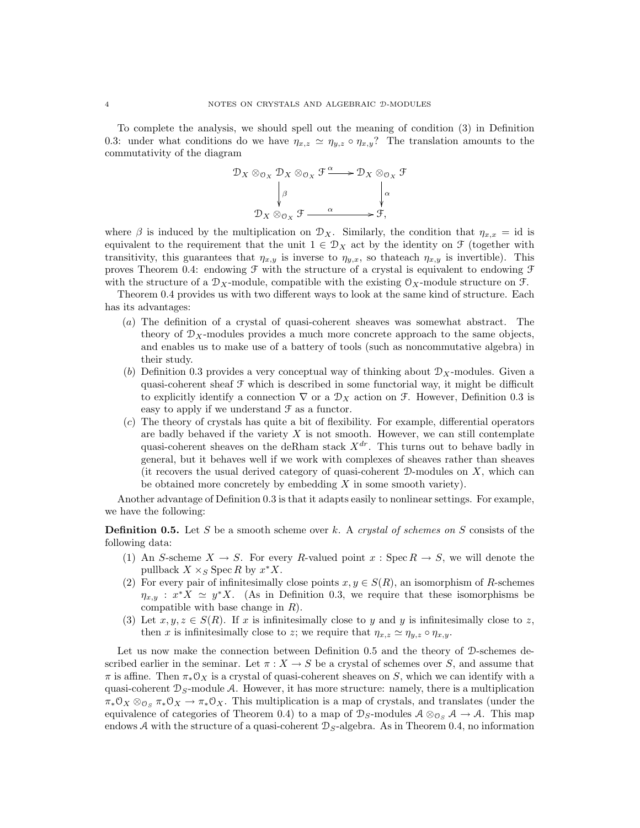To complete the analysis, we should spell out the meaning of condition (3) in Definition 0.3: under what conditions do we have  $\eta_{x,z} \simeq \eta_{y,z} \circ \eta_{x,y}$ ? The translation amounts to the commutativity of the diagram

$$
\mathcal{D}_X \otimes_{\mathcal{O}_X} \mathcal{D}_X \otimes_{\mathcal{O}_X} \mathcal{F} \xrightarrow{\alpha} \mathcal{D}_X \otimes_{\mathcal{O}_X} \mathcal{F}
$$

$$
\downarrow^{\beta} \qquad \qquad \downarrow^{\alpha}
$$

$$
\mathcal{D}_X \otimes_{\mathcal{O}_X} \mathcal{F} \xrightarrow{\alpha} \mathcal{F},
$$

where  $\beta$  is induced by the multiplication on  $\mathcal{D}_X$ . Similarly, the condition that  $\eta_{x,x} = id$  is equivalent to the requirement that the unit  $1 \in \mathcal{D}_X$  act by the identity on  $\mathcal{F}$  (together with transitivity, this guarantees that  $\eta_{x,y}$  is inverse to  $\eta_{y,x}$ , so thateach  $\eta_{x,y}$  is invertible). This proves Theorem 0.4: endowing  $\mathcal F$  with the structure of a crystal is equivalent to endowing  $\mathcal F$ with the structure of a  $\mathcal{D}_X$ -module, compatible with the existing  $\mathcal{O}_X$ -module structure on  $\mathcal{F}$ .

Theorem 0.4 provides us with two different ways to look at the same kind of structure. Each has its advantages:

- (a) The definition of a crystal of quasi-coherent sheaves was somewhat abstract. The theory of  $\mathcal{D}_X$ -modules provides a much more concrete approach to the same objects, and enables us to make use of a battery of tools (such as noncommutative algebra) in their study.
- (b) Definition 0.3 provides a very conceptual way of thinking about  $\mathcal{D}_X$ -modules. Given a quasi-coherent sheaf F which is described in some functorial way, it might be difficult to explicitly identify a connection  $\nabla$  or a  $\mathcal{D}_X$  action on  $\mathcal{F}$ . However, Definition 0.3 is easy to apply if we understand  $\mathcal F$  as a functor.
- $(c)$  The theory of crystals has quite a bit of flexibility. For example, differential operators are badly behaved if the variety  $X$  is not smooth. However, we can still contemplate quasi-coherent sheaves on the deRham stack  $X^{dr}$ . This turns out to behave badly in general, but it behaves well if we work with complexes of sheaves rather than sheaves (it recovers the usual derived category of quasi-coherent  $\mathcal D$ -modules on X, which can be obtained more concretely by embedding  $X$  in some smooth variety).

Another advantage of Definition 0.3 is that it adapts easily to nonlinear settings. For example, we have the following:

**Definition 0.5.** Let S be a smooth scheme over k. A crystal of schemes on S consists of the following data:

- (1) An S-scheme  $X \to S$ . For every R-valued point  $x : \text{Spec } R \to S$ , we will denote the pullback  $X \times_S \text{Spec } R$  by  $x^*X$ .
- (2) For every pair of infinitesimally close points  $x, y \in S(R)$ , an isomorphism of R-schemes  $\eta_{x,y}$ :  $x^*X \simeq y^*X$ . (As in Definition 0.3, we require that these isomorphisms be compatible with base change in  $R$ ).
- (3) Let  $x, y, z \in S(R)$ . If x is infinitesimally close to y and y is infinitesimally close to z, then x is infinitesimally close to z; we require that  $\eta_{x,z} \simeq \eta_{y,z} \circ \eta_{x,y}$ .

Let us now make the connection between Definition 0.5 and the theory of D-schemes described earlier in the seminar. Let  $\pi: X \to S$  be a crystal of schemes over S, and assume that  $\pi$  is affine. Then  $\pi_*\mathcal{O}_X$  is a crystal of quasi-coherent sheaves on S, which we can identify with a quasi-coherent  $\mathcal{D}_S$ -module A. However, it has more structure: namely, there is a multiplication  $\pi_*\mathfrak{O}_X \otimes_{\mathfrak{O}_S} \pi_*\mathfrak{O}_X \to \pi_*\mathfrak{O}_X$ . This multiplication is a map of crystals, and translates (under the equivalence of categories of Theorem 0.4) to a map of  $\mathcal{D}_S$ -modules  $\mathcal{A} \otimes_{\mathcal{O}_S} \mathcal{A} \to \mathcal{A}$ . This map endows A with the structure of a quasi-coherent  $\mathcal{D}_S$ -algebra. As in Theorem 0.4, no information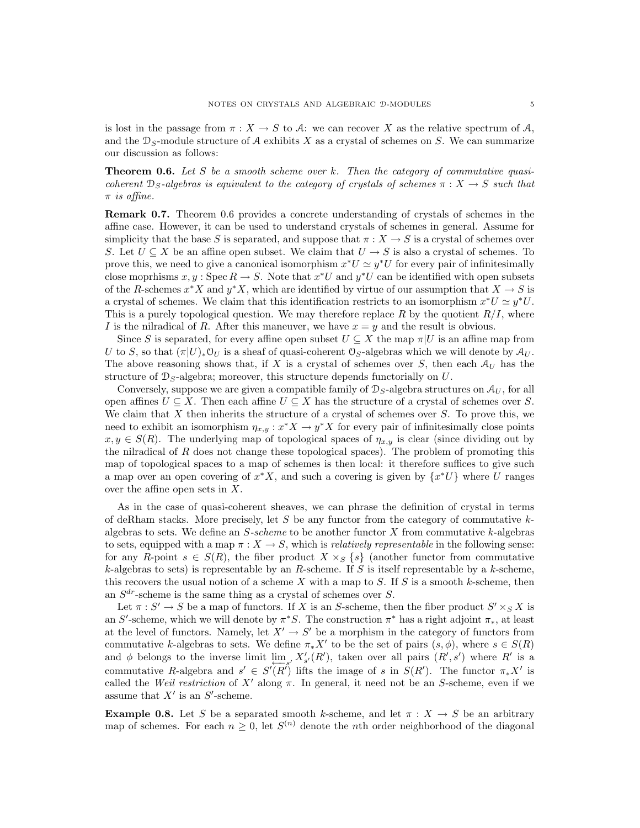is lost in the passage from  $\pi : X \to S$  to A: we can recover X as the relative spectrum of A, and the  $\mathcal{D}_S$ -module structure of A exhibits X as a crystal of schemes on S. We can summarize our discussion as follows:

**Theorem 0.6.** Let S be a smooth scheme over k. Then the category of commutative quasicoherent  $\mathcal{D}_S$ -algebras is equivalent to the category of crystals of schemes  $\pi : X \to S$  such that  $\pi$  is affine.

Remark 0.7. Theorem 0.6 provides a concrete understanding of crystals of schemes in the affine case. However, it can be used to understand crystals of schemes in general. Assume for simplicity that the base S is separated, and suppose that  $\pi : X \to S$  is a crystal of schemes over S. Let  $U \subseteq X$  be an affine open subset. We claim that  $U \to S$  is also a crystal of schemes. To prove this, we need to give a canonical isomorphism  $x^*U \simeq y^*U$  for every pair of infinitesimally close moprhisms  $x, y$ : Spec  $R \to S$ . Note that  $x^*U$  and  $y^*U$  can be identified with open subsets of the R-schemes  $x^*X$  and  $y^*X$ , which are identified by virtue of our assumption that  $X \to S$  is a crystal of schemes. We claim that this identification restricts to an isomorphism  $x^*U \simeq y^*U$ . This is a purely topological question. We may therefore replace R by the quotient  $R/I$ , where I is the nilradical of R. After this maneuver, we have  $x = y$  and the result is obvious.

Since S is separated, for every affine open subset  $U \subseteq X$  the map  $\pi|U$  is an affine map from U to S, so that  $(\pi|U)_* \mathcal{O}_U$  is a sheaf of quasi-coherent  $\mathcal{O}_S$ -algebras which we will denote by  $\mathcal{A}_U$ . The above reasoning shows that, if X is a crystal of schemes over S, then each  $A_U$  has the structure of  $\mathcal{D}_S$ -algebra; moreover, this structure depends functorially on U.

Conversely, suppose we are given a compatible family of  $\mathcal{D}_S$ -algebra structures on  $\mathcal{A}_U$ , for all open affines  $U \subseteq X$ . Then each affine  $U \subseteq X$  has the structure of a crystal of schemes over S. We claim that  $X$  then inherits the structure of a crystal of schemes over  $S$ . To prove this, we need to exhibit an isomorphism  $\eta_{x,y}: x^*X \to y^*X$  for every pair of infinitesimally close points  $x, y \in S(R)$ . The underlying map of topological spaces of  $\eta_{x,y}$  is clear (since dividing out by the nilradical of R does not change these topological spaces). The problem of promoting this map of topological spaces to a map of schemes is then local: it therefore suffices to give such a map over an open covering of  $x^*X$ , and such a covering is given by  $\{x^*U\}$  where U ranges over the affine open sets in  $X$ .

As in the case of quasi-coherent sheaves, we can phrase the definition of crystal in terms of deRham stacks. More precisely, let  $S$  be any functor from the category of commutative  $k$ algebras to sets. We define an  $S\text{-}scheme$  to be another functor X from commutative k-algebras to sets, equipped with a map  $\pi : X \to S$ , which is *relatively representable* in the following sense: for any R-point  $s \in S(R)$ , the fiber product  $X \times_S \{s\}$  (another functor from commutative  $k$ -algebras to sets) is representable by an  $R$ -scheme. If  $S$  is itself representable by a  $k$ -scheme, this recovers the usual notion of a scheme X with a map to S. If S is a smooth k-scheme, then an  $S^{dr}$ -scheme is the same thing as a crystal of schemes over S.

Let  $\pi : S' \to S$  be a map of functors. If X is an S-scheme, then the fiber product  $S' \times_S X$  is an S'-scheme, which we will denote by  $\pi^*S$ . The construction  $\pi^*$  has a right adjoint  $\pi_*$ , at least at the level of functors. Namely, let  $X' \to S'$  be a morphism in the category of functors from commutative k-algebras to sets. We define  $\pi_* X'$  to be the set of pairs  $(s, \phi)$ , where  $s \in S(R)$ and φ belongs to the inverse limit  $\lim_{s \to -s'} X'_{s'}(R')$ , taken over all pairs  $(R', s')$  where  $R'$  is a commutative R-algebra and  $s' \in S'(R')$  lifts the image of s in  $S(R')$ . The functor  $\pi_* X'$  is called the Weil restriction of X' along  $\pi$ . In general, it need not be an S-scheme, even if we assume that  $X'$  is an  $S'$ -scheme.

**Example 0.8.** Let S be a separated smooth k-scheme, and let  $\pi : X \to S$  be an arbitrary map of schemes. For each  $n \geq 0$ , let  $S^{(n)}$  denote the nth order neighborhood of the diagonal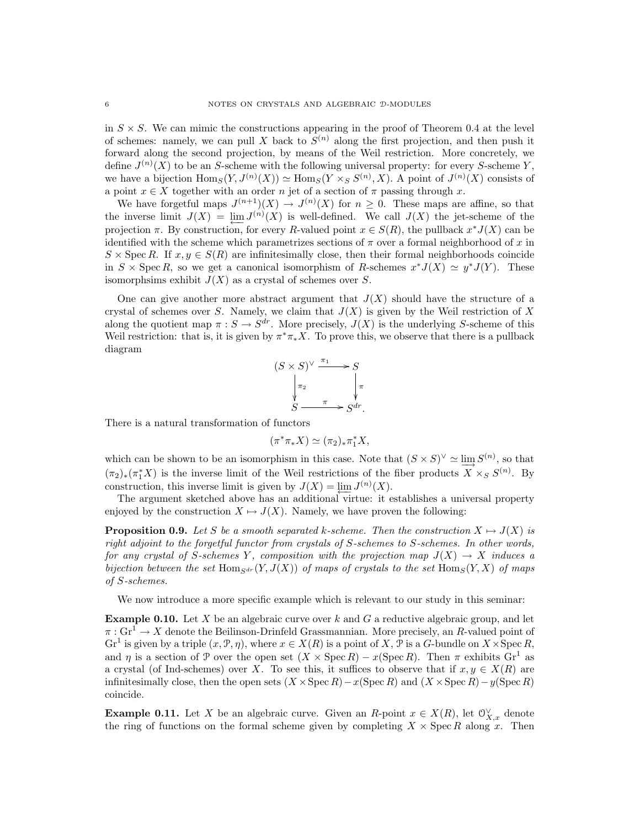in  $S \times S$ . We can mimic the constructions appearing in the proof of Theorem 0.4 at the level of schemes: namely, we can pull X back to  $S^{(n)}$  along the first projection, and then push it forward along the second projection, by means of the Weil restriction. More concretely, we define  $J^{(n)}(X)$  to be an S-scheme with the following universal property: for every S-scheme Y, we have a bijection  $\text{Hom}_S(Y, J^{(n)}(X)) \simeq \text{Hom}_S(Y \times_S S^{(n)}, X)$ . A point of  $J^{(n)}(X)$  consists of a point  $x \in X$  together with an order n jet of a section of  $\pi$  passing through x.

We have forgetful maps  $J^{(n+1)}(X) \to J^{(n)}(X)$  for  $n \geq 0$ . These maps are affine, so that the inverse limit  $J(X) = \lim_{h \to 0} J^{(n)}(X)$  is well-defined. We call  $J(X)$  the jet-scheme of the projection  $\pi$ . By construction, for every R-valued point  $x \in S(R)$ , the pullback  $x^* J(X)$  can be identified with the scheme which parametrizes sections of  $\pi$  over a formal neighborhood of x in  $S \times \text{Spec } R$ . If  $x, y \in S(R)$  are infinitesimally close, then their formal neighborhoods coincide in  $S \times \operatorname{Spec} R$ , so we get a canonical isomorphism of R-schemes  $x^*J(X) \simeq y^*J(Y)$ . These isomorphsims exhibit  $J(X)$  as a crystal of schemes over S.

One can give another more abstract argument that  $J(X)$  should have the structure of a crystal of schemes over S. Namely, we claim that  $J(X)$  is given by the Weil restriction of X along the quotient map  $\pi : S \to S^{dr}$ . More precisely,  $J(X)$  is the underlying S-scheme of this Weil restriction: that is, it is given by  $\pi^*\pi_*X$ . To prove this, we observe that there is a pullback diagram

$$
(S \times S)^{\vee} \xrightarrow{\pi_1} S
$$
  
\n
$$
\downarrow_{\pi_2} \qquad \qquad \downarrow_{\pi}
$$
  
\n
$$
S \xrightarrow{\pi} S^{dr}.
$$

There is a natural transformation of functors

$$
(\pi^*\pi_*X)\simeq (\pi_2)_*\pi_1^*X,
$$

which can be shown to be an isomorphism in this case. Note that  $(S \times S)^{\vee} \simeq \varinjlim S^{(n)}$ , so that  $(\pi_2)_*(\pi_1^*X)$  is the inverse limit of the Weil restrictions of the fiber products  $X \times_S S^{(n)}$ . By construction, this inverse limit is given by  $J(X) = \lim_{\longleftarrow} J^{(n)}(X)$ .

The argument sketched above has an additional virtue: it establishes a universal property enjoyed by the construction  $X \mapsto J(X)$ . Namely, we have proven the following:

**Proposition 0.9.** Let S be a smooth separated k-scheme. Then the construction  $X \mapsto J(X)$  is right adjoint to the forgetful functor from crystals of S-schemes to S-schemes. In other words, for any crystal of S-schemes Y, composition with the projection map  $J(X) \to X$  induces a bijection between the set Hom<sub>Sdr</sub>  $(Y, J(X))$  of maps of crystals to the set Hom<sub>S</sub> $(Y, X)$  of maps of S-schemes.

We now introduce a more specific example which is relevant to our study in this seminar:

**Example 0.10.** Let X be an algebraic curve over  $k$  and  $G$  a reductive algebraic group, and let  $\pi: \mathbf{Gr}^1 \to X$  denote the Beilinson-Drinfeld Grassmannian. More precisely, an R-valued point of  $\mathrm{Gr}^1$  is given by a triple  $(x, \mathcal{P}, \eta)$ , where  $x \in X(R)$  is a point of X,  $\mathcal{P}$  is a G-bundle on  $X \times \mathrm{Spec} R$ , and  $\eta$  is a section of P over the open set  $(X \times \text{Spec } R) - x(\text{Spec } R)$ . Then  $\pi$  exhibits  $\text{Gr}^1$  as a crystal (of Ind-schemes) over X. To see this, it suffices to observe that if  $x, y \in X(R)$  are infinitesimally close, then the open sets  $(X \times \text{Spec } R) - x(\text{Spec } R)$  and  $(X \times \text{Spec } R) - y(\text{Spec } R)$ coincide.

**Example 0.11.** Let X be an algebraic curve. Given an R-point  $x \in X(R)$ , let  $\mathbb{O}_{X,x}^{\vee}$  denote the ring of functions on the formal scheme given by completing  $X \times \operatorname{Spec} R$  along x. Then